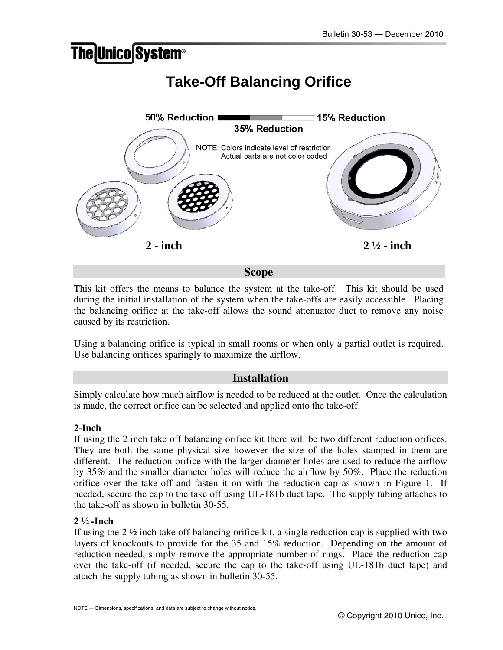# **The Unico System®**

# **Take-Off Balancing Orifice**



**Scope** 

This kit offers the means to balance the system at the take-off. This kit should be used during the initial installation of the system when the take-offs are easily accessible. Placing the balancing orifice at the take-off allows the sound attenuator duct to remove any noise caused by its restriction.

Using a balancing orifice is typical in small rooms or when only a partial outlet is required. Use balancing orifices sparingly to maximize the airflow.

## **Installation**

Simply calculate how much airflow is needed to be reduced at the outlet. Once the calculation is made, the correct orifice can be selected and applied onto the take-off.

### **2-Inch**

If using the 2 inch take off balancing orifice kit there will be two different reduction orifices. They are both the same physical size however the size of the holes stamped in them are different. The reduction orifice with the larger diameter holes are used to reduce the airflow by 35% and the smaller diameter holes will reduce the airflow by 50%. Place the reduction orifice over the take-off and fasten it on with the reduction cap as shown in Figure 1. If needed, secure the cap to the take off using UL-181b duct tape. The supply tubing attaches to the take-off as shown in bulletin 30-55.

### **2 ½ -Inch**

If using the  $2\frac{1}{2}$  inch take off balancing orifice kit, a single reduction cap is supplied with two layers of knockouts to provide for the 35 and 15% reduction. Depending on the amount of reduction needed, simply remove the appropriate number of rings. Place the reduction cap over the take-off (if needed, secure the cap to the take-off using UL-181b duct tape) and attach the supply tubing as shown in bulletin 30-55.